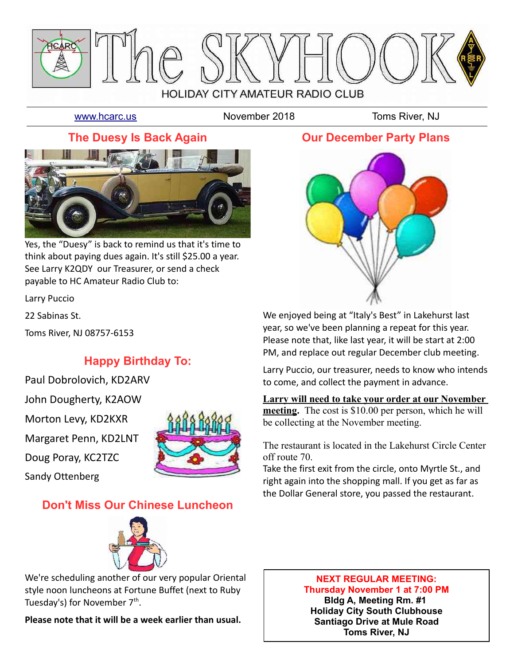

[www.hcarc.us](http://www.hcarc.us/) **November 2018** Toms River, NJ

## **The Duesy Is Back Again**



Yes, the "Duesy" is back to remind us that it's time to think about paying dues again. It's still \$25.00 a year. See Larry K2QDY our Treasurer, or send a check payable to HC Amateur Radio Club to:

Larry Puccio

22 Sabinas St.

Toms River, NJ 08757-6153

## **Happy Birthday To:**

Paul Dobrolovich, KD2ARV John Dougherty, K2AOW Morton Levy, KD2KXR Margaret Penn, KD2LNT Doug Poray, KC2TZC Sandy Ottenberg



# **Don't Miss Our Chinese Luncheon**



We're scheduling another of our very popular Oriental style noon luncheons at Fortune Buffet (next to Ruby Tuesday's) for November 7<sup>th</sup>.

**Please note that it will be a week earlier than usual.**

### **Our December Party Plans**



We enjoyed being at "Italy's Best" in Lakehurst last year, so we've been planning a repeat for this year. Please note that, like last year, it will be start at 2:00 PM, and replace out regular December club meeting.

Larry Puccio, our treasurer, needs to know who intends to come, and collect the payment in advance.

**Larry will need to take your order at our November meeting.** The cost is \$10.00 per person, which he will be collecting at the November meeting.

The restaurant is located in the Lakehurst Circle Center off route 70.

Take the first exit from the circle, onto Myrtle St., and right again into the shopping mall. If you get as far as the Dollar General store, you passed the restaurant.

#### **NEXT REGULAR MEETING: Thursday November 1 at 7:00 PM Bldg A, Meeting Rm. #1**

**Holiday City South Clubhouse Santiago Drive at Mule Road Toms River, NJ**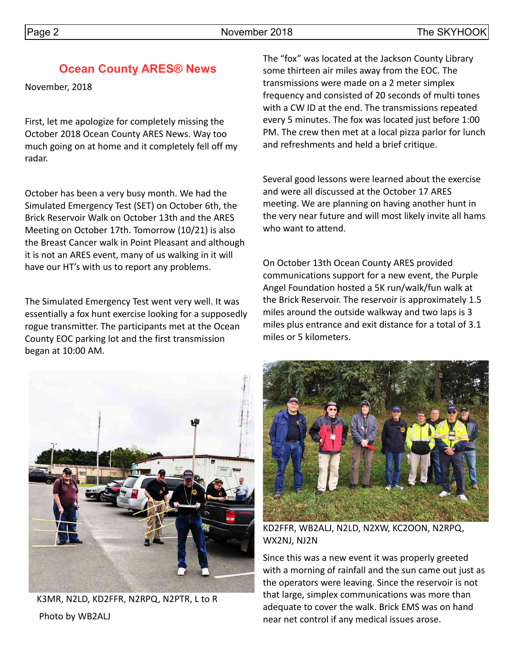## **Ocean County ARES® News**

November, 2018

First, let me apologize for completely missing the October 2018 Ocean County ARES News. Way too much going on at home and it completely fell off my radar.

October has been a very busy month. We had the Simulated Emergency Test (SET) on October 6th, the Brick Reservoir Walk on October 13th and the ARES Meeting on October 17th. Tomorrow (10/21) is also the Breast Cancer walk in Point Pleasant and although it is not an ARES event, many of us walking in it will have our HT's with us to report any problems.

The Simulated Emergency Test went very well. It was essentially a fox hunt exercise looking for a supposedly rogue transmitter. The participants met at the Ocean County EOC parking lot and the first transmission began at 10:00 AM.



K3MR, N2LD, KD2FFR, N2RPQ, N2PTR, L to R Photo by WB2ALJ

The "fox" was located at the Jackson County Library some thirteen air miles away from the EOC. The transmissions were made on a 2 meter simplex frequency and consisted of 20 seconds of multi tones with a CW ID at the end. The transmissions repeated every 5 minutes. The fox was located just before 1:00 PM. The crew then met at a local pizza parlor for lunch and refreshments and held a brief critique.

Several good lessons were learned about the exercise and were all discussed at the October 17 ARES meeting. We are planning on having another hunt in the very near future and will most likely invite all hams who want to attend.

On October 13th Ocean County ARES provided communications support for a new event, the Purple Angel Foundation hosted a 5K run/walk/fun walk at the Brick Reservoir. The reservoir is approximately 1.5 miles around the outside walkway and two laps is 3 miles plus entrance and exit distance for a total of 3.1 miles or 5 kilometers.



KD2FFR, WB2ALJ, N2LD, N2XW, KC2OON, N2RPQ, WX2NJ, NJ2N

Since this was a new event it was properly greeted with a morning of rainfall and the sun came out just as the operators were leaving. Since the reservoir is not that large, simplex communications was more than adequate to cover the walk. Brick EMS was on hand near net control if any medical issues arose.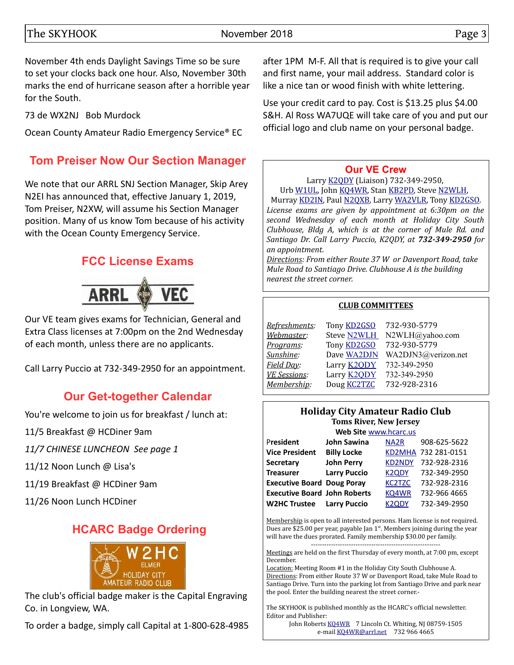#### The SKYHOOK November 2018 and the SKYHOOK Page 3

November 4th ends Daylight Savings Time so be sure to set your clocks back one hour. Also, November 30th marks the end of hurricane season after a horrible year for the South.

73 de WX2NJ Bob Murdock

Ocean County Amateur Radio Emergency Service® EC

# **Tom Preiser Now Our Section Manager**

We note that our ARRL SNJ Section Manager, Skip Arey N2EI has announced that, effective January 1, 2019, Tom Preiser, N2XW, will assume his Section Manager position. Many of us know Tom because of his activity with the Ocean County Emergency Service.

# **FCC License Exams**



Our VE team gives exams for Technician, General and Extra Class licenses at 7:00pm on the 2nd Wednesday of each month, unless there are no applicants.

Call Larry Puccio at 732-349-2950 for an appointment.

# **Our Get-together Calendar**

You're welcome to join us for breakfast / lunch at:

11/5 Breakfast @ HCDiner 9am

*11/7 CHINESE LUNCHEON See page 1*

11/12 Noon Lunch @ Lisa's

11/19 Breakfast @ HCDiner 9am

11/26 Noon Lunch HCDiner

# **HCARC Badge Ordering**



The club's official badge maker is the Capital Engraving Co. in Longview, WA.

To order a badge, simply call Capital at 1-800-628-4985

after 1PM M-F. All that is required is to give your call and first name, your mail address. Standard color is like a nice tan or wood finish with white lettering.

Use your credit card to pay. Cost is \$13.25 plus \$4.00 S&H. Al Ross WA7UQE will take care of you and put our official logo and club name on your personal badge.

#### **[Our VE Crew](mailto:lpuccio1@comcast.net?subject=VE)**

Larry [K2QDY](mailto:lpuccio1@comcast.net) (Liaison) 732-349-2950, Urb [W1UL,](mailto:urb@W1UL.com) John [KQ4WR,](mailto:kq4wr@arrl.net) Stan [KB2PD,](mailto:kb2pd@hotmail.com) Steve [N2WLH,](mailto:n2wlh@yahoo.com) Murray [KD2IN,](mailto:murraykd2in@comcast.net) Paul [N2QXB,](mailto:n2qxb@juno.com) Larry [WA2VLR,](mailto:lloscalz@optonline.net) Tony [KD2GSO.](mailto:tonyk613@comcast.net) *License exams are given by appointment at 6:30pm on the second Wednesday of each month at Holiday City South Clubhouse, Bldg A, which is at the corner of Mule Rd. and Santiago Dr. Call Larry Puccio, K2QDY, at 732-349-2950 for an appointment.* 

*Directions: From either Route 37 W or Davenport Road, take Mule Road to Santiago Drive. Clubhouse A is the building nearest the street corner.*

#### **CLUB COMMITTEES**

| Tony <b>KD2GSO</b> | 732-930-5779        |
|--------------------|---------------------|
| Steve N2WLH        | N2WLH@yahoo.com     |
| Tony <b>KD2GSO</b> | 732-930-5779        |
| Dave WA2DJN        | WA2DJN3@verizon.net |
| Larry <b>K2QDY</b> | 732-349-2950        |
| Larry <b>K2ODY</b> | 732-349-2950        |
| Doug <b>KC2TZC</b> | 732-928-2316        |
|                    |                     |

#### **Holiday City Amateur Radio Club Toms River, New Jersey**

| Web Site www.hcarc.us               |                     |                   |                     |  |  |  |  |
|-------------------------------------|---------------------|-------------------|---------------------|--|--|--|--|
| President                           | <b>John Sawina</b>  | NA <sub>2</sub> R | 908-625-5622        |  |  |  |  |
| <b>Vice President</b>               | <b>Billy Locke</b>  |                   | KD2MHA 732 281-0151 |  |  |  |  |
| Secretary                           | <b>John Perry</b>   | <b>KD2NDY</b>     | 732-928-2316        |  |  |  |  |
| <b>Treasurer</b>                    | <b>Larry Puccio</b> | <b>K2QDY</b>      | 732-349-2950        |  |  |  |  |
| <b>Executive Board Doug Poray</b>   |                     | <b>KC2TZC</b>     | 732-928-2316        |  |  |  |  |
| <b>Executive Board John Roberts</b> |                     | KQ4WR             | 732-966 4665        |  |  |  |  |
| <b>W2HC Trustee</b>                 | <b>Larry Puccio</b> | <b>K2QDY</b>      | 732-349-2950        |  |  |  |  |

Membership is open to all interested persons. Ham license is not required. Dues are \$25.00 per year, payable Jan  $1<sup>st</sup>$ . Members joining during the year will have the dues prorated. Family membership \$30.00 per family. ----------------------------------------------------------

Meetings are held on the first Thursday of every month, at 7:00 pm, except December.

Location: Meeting Room #1 in the Holiday City South Clubhouse A. Directions: From either Route 37 W or Davenport Road, take Mule Road to Santiago Drive. Turn into the parking lot from Santiago Drive and park near the pool. Enter the building nearest the street corner.-

The SKYHOOK is published monthly as the HCARC's official newsletter. Editor and Publisher:

John Roberts [KQ4WR](mailto:kq4wr@arrl.net) 7 Lincoln Ct. Whiting, NJ 08759-1505 e-mail [KQ4WR@arrl.net](mailto:KQ4WR@arrl.net) 732 966 4665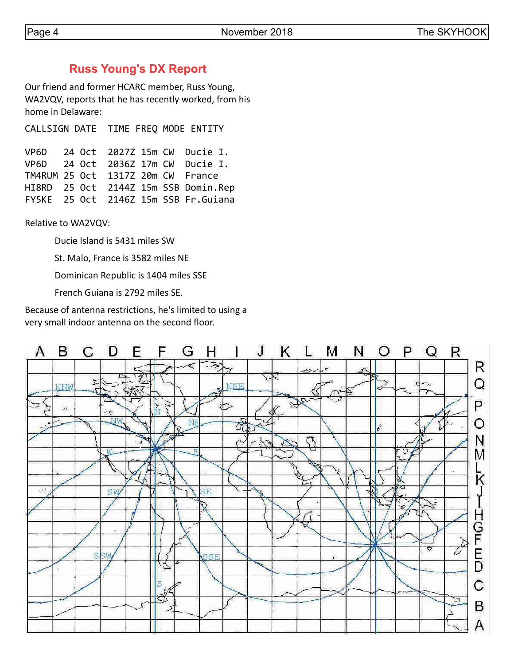#### **Russ Young's DX Report**

Our friend and former HCARC member, Russ Young, WA2VQV, reports that he has recently worked, from his home in Delaware:

CALLSIGN DATE TIME FREQ MODE ENTITY

|                                   |  |  | VP6D 24 Oct 2027Z 15m CW Ducie I.     |
|-----------------------------------|--|--|---------------------------------------|
|                                   |  |  | VP6D 24 Oct 2036Z 17m CW Ducie I.     |
| TM4RUM 25 Oct 1317Z 20m CW France |  |  |                                       |
|                                   |  |  | HI8RD 25 Oct 2144Z 15m SSB Domin.Rep  |
|                                   |  |  | FY5KE 25 Oct 2146Z 15m SSB Fr. Guiana |

Relative to WA2VQV:

Ducie Island is 5431 miles SW

St. Malo, France is 3582 miles NE

Dominican Republic is 1404 miles SSE

French Guiana is 2792 miles SE.

Because of antenna restrictions, he's limited to using a very small indoor antenna on the second floor.

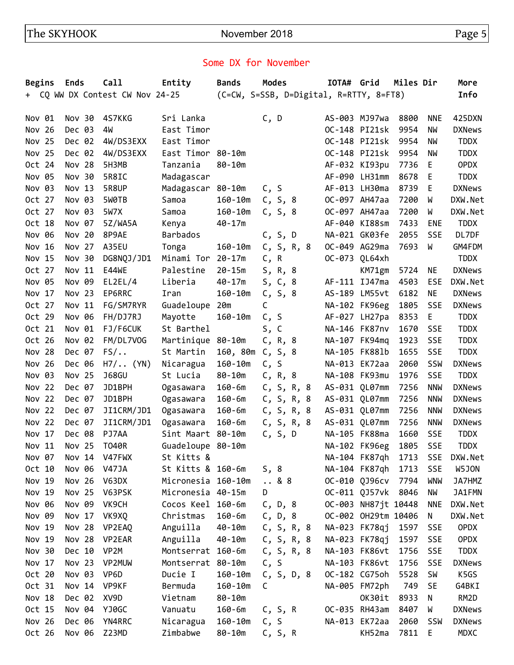### Some DX for November

| <b>Begins</b> | <b>Ends</b> | Call                            | Entity             | <b>Bands</b> | <b>Modes</b>                            | IOTA# Grid |                     | Miles Dir |            | More          |
|---------------|-------------|---------------------------------|--------------------|--------------|-----------------------------------------|------------|---------------------|-----------|------------|---------------|
|               |             | + CQ WW DX Contest CW Nov 24-25 |                    |              | (C=CW, S=SSB, D=Digital, R=RTTY, 8=FT8) |            |                     |           |            | Info          |
|               |             |                                 |                    |              |                                         |            |                     |           |            |               |
| Nov 01        | Nov 30      | 4S7KKG                          | Sri Lanka          |              | C, D                                    |            | AS-003 MJ97wa       | 8800      | <b>NNE</b> | 425DXN        |
| Nov 26        | Dec 03      | 4W                              | East Timor         |              |                                         |            | OC-148 PI21sk       | 9954      | NW         | <b>DXNews</b> |
| Nov 25        | Dec 02      | 4W/DS3EXX                       | East Timor         |              |                                         |            | OC-148 PI21sk       | 9954      | NW         | <b>TDDX</b>   |
| Nov 25        | Dec 02      | 4W/DS3EXX                       | East Timor 80-10m  |              |                                         |            | OC-148 PI21sk       | 9954      | NW         | <b>TDDX</b>   |
| Oct 24        | Nov 28      | 5H3MB                           | Tanzania           | $80 - 10m$   |                                         |            | AF-032 KI93pu       | 7736      | E          | <b>OPDX</b>   |
| Nov 05        | Nov 30      | 5R8IC                           | Madagascar         |              |                                         |            | AF-090 LH31mm       | 8678      | E          | <b>TDDX</b>   |
| Nov 03        | Nov 13      | 5R8UP                           | Madagascar 80-10m  |              | C, S                                    |            | AF-013 LH30ma       | 8739      | E          | <b>DXNews</b> |
| Oct 27        | Nov 03      | 5W0TB                           | Samoa              | $160 - 10m$  | C, S, 8                                 |            | OC-097 AH47aa       | 7200      | W          | DXW.Net       |
| Oct 27        | Nov 03      | 5W7X                            | Samoa              | $160 - 10m$  | C, S, 8                                 |            | OC-097 AH47aa       | 7200      | W          | DXW.Net       |
| Oct 18        | Nov 07      | 5Z/WA5A                         | Kenya              | $40 - 17m$   |                                         |            | AF-040 KI88sm       | 7433      | <b>ENE</b> | <b>TDDX</b>   |
| Nov 06        | Nov 20      | 8P9AE                           | Barbados           |              | C, S, D                                 |            | NA-021 GK03fe       | 2055      | <b>SSE</b> | DL7DF         |
| Nov 16        | Nov 27      | A35EU                           | Tonga              | $160 - 10m$  | C, S, R, 8                              |            | OC-049 AG29ma       | 7693      | W          | GM4FDM        |
| Nov 15        | Nov 30      | DG8NQJ/JD1                      | Minami Tor 20-17m  |              | C, R                                    |            | OC-073 QL64xh       |           |            | <b>TDDX</b>   |
| Oct 27        | Nov 11      | E44WE                           | Palestine          | $20 - 15m$   | S, R, 8                                 |            | KM71gm              | 5724      | ΝE         | <b>DXNews</b> |
| Nov 05        | Nov 09      | EL2EL/4                         | Liberia            | $40 - 17m$   | S, C, 8                                 |            | AF-111 IJ47ma       | 4503      | <b>ESE</b> | DXW.Net       |
| Nov 17        | Nov 23      | EP6RRC                          | Iran               | $160 - 10m$  | C, S, 8                                 |            | AS-189 LM55vt       | 6182      | NE         | <b>DXNews</b> |
| Oct 27        | Nov 11      | FG/SM7RYR                       | Guadeloupe         | 20m          | C                                       |            | NA-102 FK96eg       | 1805      | <b>SSE</b> | <b>DXNews</b> |
| Oct 29        | Nov 06      | FH/DJ7RJ                        | Mayotte            | $160 - 10m$  | C, S                                    |            | AF-027 LH27pa       | 8353      | Ε          | <b>TDDX</b>   |
| Oct 21        | Nov 01      | FJ/F6CUK                        | St Barthel         |              | s, c                                    |            | NA-146 FK87nv       | 1670      | <b>SSE</b> | <b>TDDX</b>   |
| Oct 26        | Nov 02      | FM/DL7V0G                       | Martinique         | 80-10m       | C, R, 8                                 |            | NA-107 FK94mq       | 1923      | <b>SSE</b> | <b>TDDX</b>   |
| Nov 28        | Dec 07      | $FS/\ldots$                     | St Martin          | 160, 80m     | C, S, 8                                 |            | NA-105 FK881b       | 1655      | <b>SSE</b> | <b>TDDX</b>   |
| Nov 26        | Dec 06      | $H7/$ (YN)                      | Nicaragua          | $160 - 10m$  | C, S                                    |            | NA-013 EK72aa       | 2060      | SSW        | <b>DXNews</b> |
| Nov 03        | Nov 25      | <b>J68GU</b>                    | St Lucia           | $80 - 10m$   | C, R, 8                                 |            | NA-108 FK93mu       | 1976      | <b>SSE</b> | <b>TDDX</b>   |
| Nov 22        | Dec 07      | JD1BPH                          | Ogasawara          | $160 - 6m$   | C, S, R, 8                              |            | AS-031 QL07mm       | 7256      | <b>NNW</b> | <b>DXNews</b> |
| Nov 22        | Dec 07      | JD1BPH                          | Ogasawara          | $160 - 6m$   | C, S, R, 8                              |            | AS-031 QL07mm       | 7256      | <b>NNW</b> | <b>DXNews</b> |
| Nov 22        | Dec 07      | JI1CRM/JD1                      | Ogasawara          | $160 - 6m$   | C, S, R, 8                              |            | AS-031 QL07mm       | 7256      | <b>NNW</b> | <b>DXNews</b> |
| Nov 22        | Dec 07      | JI1CRM/JD1                      | Ogasawara          | $160 - 6m$   | C, S, R, 8                              |            | AS-031 QL07mm       | 7256      | <b>NNW</b> | <b>DXNews</b> |
| Nov 17        | Dec 08      | PJ7AA                           | Sint Maart 80-10m  |              | C, S, D                                 |            | NA-105 FK88ma       | 1660      | <b>SSE</b> | <b>TDDX</b>   |
| Nov 11        | Nov 25      | <b>T040R</b>                    | Guadeloupe 80-10m  |              |                                         |            | NA-102 FK96eg       | 1805      | <b>SSE</b> | <b>TDDX</b>   |
| Nov 07        | Nov 14      | V47FWX                          | St Kitts &         |              |                                         |            | NA-104 FK87qh       | 1713      | <b>SSE</b> | DXW.Net       |
| Oct 10        | Nov 06      | <b>V47JA</b>                    | St Kitts & 160-6m  |              | S, 8                                    |            | NA-104 FK87qh       | 1713      | SSE        | W5JON         |
| Nov 19        | Nov 26      | V63DX                           | Micronesia 160-10m |              | 88                                      |            | OC-010 QJ96cv       | 7794      | WNW        | JA7HMZ        |
| Nov 19        | Nov 25      | V63PSK                          | Micronesia 40-15m  |              | D                                       |            | OC-011 QJ57vk       | 8046      | NW         | JA1FMN        |
| Nov 06        | Nov 09      | VK9CH                           | Cocos Keel 160-6m  |              | C, D, 8                                 |            | OC-003 NH87jt 10448 |           | <b>NNE</b> | DXW.Net       |
| Nov 09        | Nov 17      | VK9XQ                           | Christmas          | $160 - 6m$   | C, D, 8                                 |            | OC-002 OH29tm 10406 |           | N          | DXW.Net       |
| Nov 19        | Nov 28      | VP2EAQ                          | Anguilla           | 40-10m       | C, S, R, 8                              |            | NA-023 FK78qj       | 1597      | <b>SSE</b> | <b>OPDX</b>   |
| Nov 19        | Nov 28      | VP2EAR                          | Anguilla           | $40 - 10m$   | C, S, R, 8                              |            | NA-023 FK78qj       | 1597      | <b>SSE</b> | <b>OPDX</b>   |
| Nov 30        | Dec 10      | VP <sub>2M</sub>                | Montserrat 160-6m  |              | C, S, R, 8                              |            | NA-103 FK86vt       | 1756      | <b>SSE</b> | <b>TDDX</b>   |
| Nov 17        | Nov 23      | VP2MUW                          | Montserrat 80-10m  |              | C, S                                    |            | NA-103 FK86vt       | 1756      | <b>SSE</b> | <b>DXNews</b> |
| Oct 20        | Nov 03      | VP6D                            | Ducie I            | $160 - 10m$  | C, S, D, 8                              |            | OC-182 CG75oh       | 5528      | <b>SW</b>  | K5GS          |
| Oct 31        | Nov 14      | VP9KF                           | Bermuda            | $160 - 10m$  | C                                       |            | NA-005 FM72ph       | 749       | <b>SE</b>  | G4BKI         |
|               | Dec 02      |                                 |                    |              |                                         |            |                     |           |            |               |
| Nov 18        | Nov 04      | XV9D                            | Vietnam            | 80-10m       |                                         |            | OK30it              | 8933      | N          | RM2D          |
| Oct 15        |             | YJ0GC                           | Vanuatu            | $160 - 6m$   | C, S, R                                 |            | OC-035 RH43am       | 8407      | W          | <b>DXNews</b> |
| Nov 26        | Dec 06      | YN4RRC                          | Nicaragua          | $160 - 10m$  | C, S                                    |            | NA-013 EK72aa       | 2060      | SSW        | <b>DXNews</b> |
| Oct 26        | Nov 06      | Z23MD                           | Zimbabwe           | 80-10m       | C, S, R                                 |            | KH52ma              | 7811      | Е          | MDXC          |